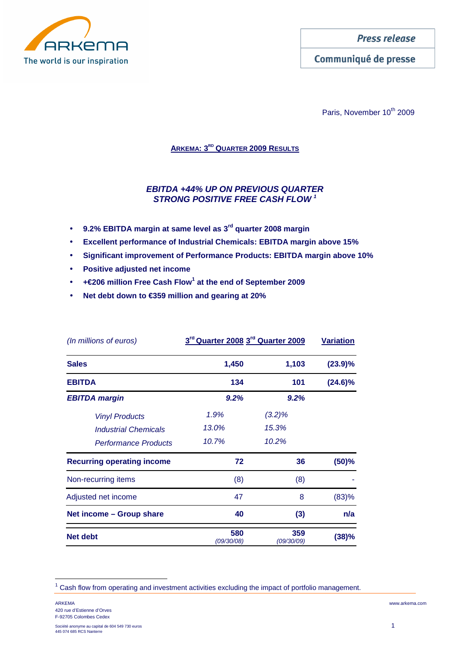

Communiqué de presse

Paris, November 10<sup>th</sup> 2009

**ARKEMA: 3RD QUARTER 2009 RESULTS**

# **EBITDA +44% UP ON PREVIOUS QUARTER STRONG POSITIVE FREE CASH FLOW <sup>1</sup>**

- **9.2% EBITDA margin at same level as 3rd quarter 2008 margin**
- **Excellent performance of Industrial Chemicals: EBITDA margin above 15%**
- **Significant improvement of Performance Products: EBITDA margin above 10%**
- **Positive adjusted net income**
- **+€206 million Free Cash Flow<sup>1</sup> at the end of September 2009**
- **Net debt down to €359 million and gearing at 20%**

| (In millions of euros)            | 3rd Quarter 2008 3rd Quarter 2009 | <b>Variation</b>         |            |  |
|-----------------------------------|-----------------------------------|--------------------------|------------|--|
| <b>Sales</b>                      | 1,450                             | 1,103                    | (23.9)%    |  |
| <b>EBITDA</b>                     | 134                               | 101                      | $(24.6)\%$ |  |
| <b>EBITDA margin</b>              | 9.2%                              | 9.2%                     |            |  |
| <b>Vinyl Products</b>             | 1.9%                              | $(3.2)\%$                |            |  |
| <b>Industrial Chemicals</b>       | 13.0%                             | 15.3%                    |            |  |
| <b>Performance Products</b>       | 10.7%                             | 10.2%                    |            |  |
| <b>Recurring operating income</b> | 72                                | 36                       | (50)%      |  |
| Non-recurring items               | (8)                               | (8)                      |            |  |
| Adjusted net income               | 47                                | 8                        | (83)%      |  |
| Net income - Group share          | 40                                | (3)                      | n/a        |  |
| <b>Net debt</b>                   | 580<br>(09/30/08)                 | 359<br><i>(09/30/09)</i> | (38)%      |  |

 $1$  Cash flow from operating and investment activities excluding the impact of portfolio management.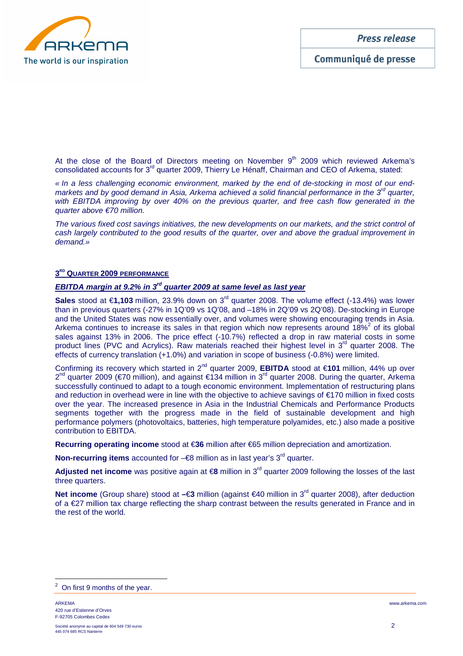

At the close of the Board of Directors meeting on November  $9<sup>th</sup>$  2009 which reviewed Arkema's consolidated accounts for 3<sup>rd</sup> quarter 2009, Thierry Le Hénaff, Chairman and CEO of Arkema, stated:

« In a less challenging economic environment, marked by the end of de-stocking in most of our endmarkets and by good demand in Asia, Arkema achieved a solid financial performance in the  $3<sup>rd</sup>$  quarter, with EBITDA improving by over 40% on the previous quarter, and free cash flow generated in the quarter above  $\epsilon$  70 million.

The various fixed cost savings initiatives, the new developments on our markets, and the strict control of cash largely contributed to the good results of the quarter, over and above the gradual improvement in demand.»

# **3 RD QUARTER 2009 PERFORMANCE**

# **EBITDA margin at 9.2% in 3rd quarter 2009 at same level as last year**

**Sales** stood at €**1,103** million, 23.9% down on 3rd quarter 2008. The volume effect (-13.4%) was lower than in previous quarters (-27% in 1Q'09 vs 1Q'08, and –18% in 2Q'09 vs 2Q'08). De-stocking in Europe and the United States was now essentially over, and volumes were showing encouraging trends in Asia. Arkema continues to increase its sales in that region which now represents around  $18\%^2$  of its global sales against 13% in 2006. The price effect (-10.7%) reflected a drop in raw material costs in some product lines (PVC and Acrylics). Raw materials reached their highest level in 3<sup>rd</sup> quarter 2008. The effects of currency translation (+1.0%) and variation in scope of business (-0.8%) were limited.

Confirming its recovery which started in 2<sup>nd</sup> quarter 2009, **EBITDA** stood at €101 million, 44% up over 2<sup>nd</sup> quarter 2009 (€70 million), and against €134 million in 3<sup>rd</sup> quarter 2008. During the quarter, Arkema successfully continued to adapt to a tough economic environment. Implementation of restructuring plans and reduction in overhead were in line with the objective to achieve savings of €170 million in fixed costs over the year. The increased presence in Asia in the Industrial Chemicals and Performance Products segments together with the progress made in the field of sustainable development and high performance polymers (photovoltaics, batteries, high temperature polyamides, etc.) also made a positive contribution to EBITDA.

**Recurring operating income** stood at €**36** million after €65 million depreciation and amortization.

**Non-recurring items** accounted for  $-\epsilon$ 8 million as in last year's  $3<sup>rd</sup>$  quarter.

**Adjusted net income** was positive again at €**8** million in 3rd quarter 2009 following the losses of the last three quarters.

**Net income** (Group share) stood at – **€3** million (against €40 million in 3<sup>rd</sup> quarter 2008), after deduction of a €27 million tax charge reflecting the sharp contrast between the results generated in France and in the rest of the world.

<sup>2</sup> On first 9 months of the year.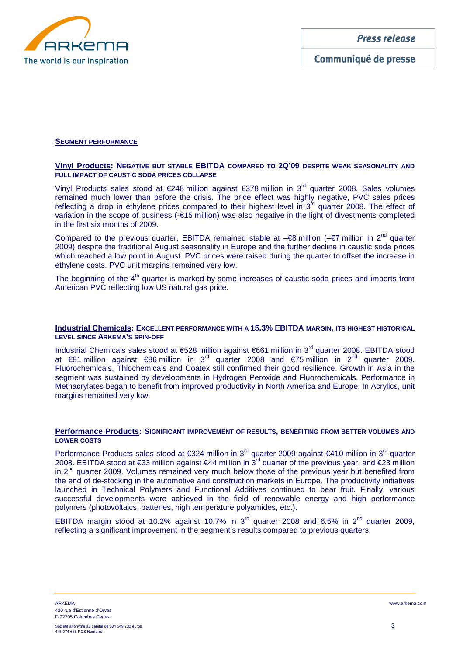

#### **SEGMENT PERFORMANCE**

#### **Vinyl Products: NEGATIVE BUT STABLE EBITDA COMPARED TO 2Q'09 DESPITE WEAK SEASONALITY AND FULL IMPACT OF CAUSTIC SODA PRICES COLLAPSE**

Vinyl Products sales stood at €248 million against €378 million in 3<sup>rd</sup> quarter 2008. Sales volumes remained much lower than before the crisis. The price effect was highly negative, PVC sales prices reflecting a drop in ethylene prices compared to their highest level in  $3^{rd}$  quarter 2008. The effect of variation in the scope of business (-€15 million) was also negative in the light of divestments completed in the first six months of 2009.

Compared to the previous quarter, EBITDA remained stable at –€8 million (–€7 million in  $2^{nd}$  quarter 2009) despite the traditional August seasonality in Europe and the further decline in caustic soda prices which reached a low point in August. PVC prices were raised during the quarter to offset the increase in ethylene costs. PVC unit margins remained very low.

The beginning of the 4<sup>th</sup> quarter is marked by some increases of caustic soda prices and imports from American PVC reflecting low US natural gas price.

#### **Industrial Chemicals: EXCELLENT PERFORMANCE WITH A 15.3% EBITDA MARGIN, ITS HIGHEST HISTORICAL LEVEL SINCE ARKEMA'S SPIN-OFF**

Industrial Chemicals sales stood at €528 million against €661 million in 3<sup>rd</sup> quarter 2008. EBITDA stood at €81 million against €86 million in  $3<sup>d</sup>$  quarter 2008 and €75 million in  $2<sup>nd</sup>$  quarter 2009. Fluorochemicals, Thiochemicals and Coatex still confirmed their good resilience. Growth in Asia in the segment was sustained by developments in Hydrogen Peroxide and Fluorochemicals. Performance in Methacrylates began to benefit from improved productivity in North America and Europe. In Acrylics, unit margins remained very low.

#### **Performance Products: SIGNIFICANT IMPROVEMENT OF RESULTS, BENEFITING FROM BETTER VOLUMES AND LOWER COSTS**

Performance Products sales stood at €324 million in 3<sup>rd</sup> quarter 2009 against €410 million in 3<sup>rd</sup> quarter 2008. EBITDA stood at €33 million against €44 million in 3<sup>rd</sup> quarter of the previous year, and €23 million in 2<sup>nd</sup> quarter 2009. Volumes remained very much below those of the previous year but benefited from the end of de-stocking in the automotive and construction markets in Europe. The productivity initiatives launched in Technical Polymers and Functional Additives continued to bear fruit. Finally, various successful developments were achieved in the field of renewable energy and high performance polymers (photovoltaics, batteries, high temperature polyamides, etc.).

EBITDA margin stood at 10.2% against 10.7% in  $3<sup>rd</sup>$  quarter 2008 and 6.5% in  $2<sup>nd</sup>$  quarter 2009, reflecting a significant improvement in the segment's results compared to previous quarters.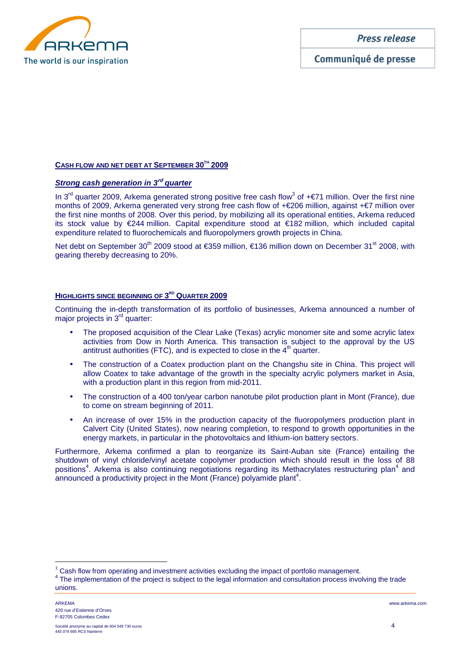

Communiqué de presse

# **CASH FLOW AND NET DEBT AT SEPTEMBER 30TH 2009**

# **Strong cash generation in 3<sup>rd</sup> quarter**

In 3<sup>rd</sup> quarter 2009, Arkema generated strong positive free cash flow<sup>3</sup> of +€71 million. Over the first nine months of 2009, Arkema generated very strong free cash flow of +€206 million, against +€7 million over the first nine months of 2008. Over this period, by mobilizing all its operational entities, Arkema reduced its stock value by €244 million. Capital expenditure stood at €182 million, which included capital expenditure related to fluorochemicals and fluoropolymers growth projects in China.

Net debt on September 30<sup>th</sup> 2009 stood at €359 million, €136 million down on December 31<sup>st</sup> 2008, with gearing thereby decreasing to 20%.

#### **HIGHLIGHTS SINCE BEGINNING OF 3 RD QUARTER 2009**

Continuing the in-depth transformation of its portfolio of businesses, Arkema announced a number of major projects in 3<sup>rd</sup> quarter:

- The proposed acquisition of the Clear Lake (Texas) acrylic monomer site and some acrylic latex activities from Dow in North America. This transaction is subject to the approval by the US antitrust authorities (FTC), and is expected to close in the  $4<sup>th</sup>$  quarter.
- The construction of a Coatex production plant on the Changshu site in China. This project will allow Coatex to take advantage of the growth in the specialty acrylic polymers market in Asia, with a production plant in this region from mid-2011.
- The construction of a 400 ton/year carbon nanotube pilot production plant in Mont (France), due to come on stream beginning of 2011.
- An increase of over 15% in the production capacity of the fluoropolymers production plant in Calvert City (United States), now nearing completion, to respond to growth opportunities in the energy markets, in particular in the photovoltaics and lithium-ion battery sectors.

Furthermore, Arkema confirmed a plan to reorganize its Saint-Auban site (France) entailing the shutdown of vinyl chloride/vinyl acetate copolymer production which should result in the loss of 88 positions<sup>4</sup>. Arkema is also continuing negotiations regarding its Methacrylates restructuring plan<sup>4</sup> and announced a productivity project in the Mont (France) polyamide plant<sup>4</sup>.

 $\overline{a}$ 

 $3$  Cash flow from operating and investment activities excluding the impact of portfolio management.

<sup>&</sup>lt;sup>4</sup> The implementation of the project is subject to the legal information and consultation process involving the trade unions.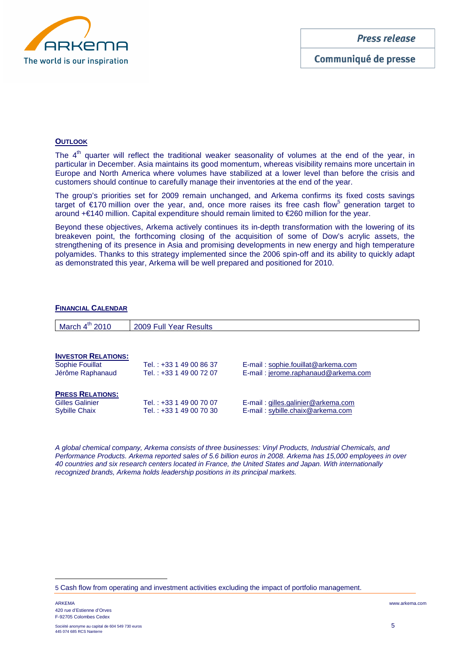

# **OUTLOOK**

The  $4<sup>th</sup>$  quarter will reflect the traditional weaker seasonality of volumes at the end of the year, in particular in December. Asia maintains its good momentum, whereas visibility remains more uncertain in Europe and North America where volumes have stabilized at a lower level than before the crisis and customers should continue to carefully manage their inventories at the end of the year.

The group's priorities set for 2009 remain unchanged, and Arkema confirms its fixed costs savings target of  $\in$ 170 million over the year, and, once more raises its free cash flow<sup>5</sup> generation target to around +€140 million. Capital expenditure should remain limited to €260 million for the year.

Beyond these objectives, Arkema actively continues its in-depth transformation with the lowering of its breakeven point, the forthcoming closing of the acquisition of some of Dow's acrylic assets, the strengthening of its presence in Asia and promising developments in new energy and high temperature polyamides. Thanks to this strategy implemented since the 2006 spin-off and its ability to quickly adapt as demonstrated this year, Arkema will be well prepared and positioned for 2010.

#### **FINANCIAL CALENDAR**

| March $4th$ 2010           | 2009 Full Year Results  |                                     |
|----------------------------|-------------------------|-------------------------------------|
|                            |                         |                                     |
|                            |                         |                                     |
| <b>INVESTOR RELATIONS:</b> |                         |                                     |
| Sophie Fouillat            | Tel.: +33 1 49 00 86 37 | E-mail: sophie.fouillat@arkema.com  |
| Jérôme Raphanaud           | Tel.: +33 1 49 00 72 07 | E-mail: jerome.raphanaud@arkema.com |
| <b>PRESS RELATIONS:</b>    |                         |                                     |
| <b>Gilles Galinier</b>     | Tel.: +33 1 49 00 70 07 | E-mail: gilles.galinier@arkema.com  |
| <b>Sybille Chaix</b>       | Tel.: +33 1 49 00 70 30 | E-mail: sybille.chaix@arkema.com    |

A global chemical company, Arkema consists of three businesses: Vinyl Products, Industrial Chemicals, and Performance Products. Arkema reported sales of 5.6 billion euros in 2008. Arkema has 15,000 employees in over 40 countries and six research centers located in France, the United States and Japan. With internationally recognized brands, Arkema holds leadership positions in its principal markets.

<sup>5</sup> Cash flow from operating and investment activities excluding the impact of portfolio management.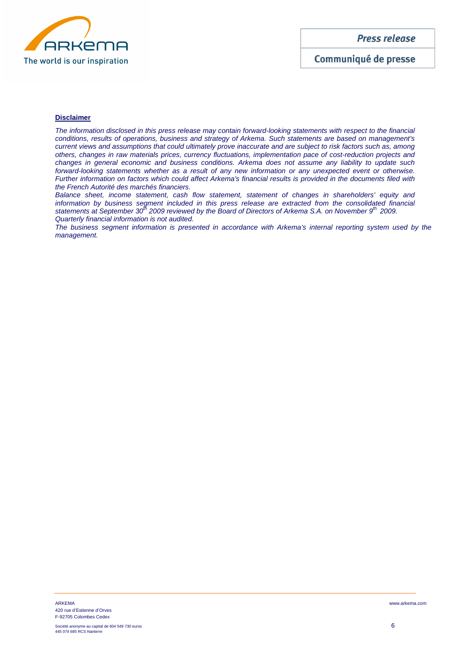

Communiqué de presse

#### **Disclaimer**

The information disclosed in this press release may contain forward-looking statements with respect to the financial conditions, results of operations, business and strategy of Arkema. Such statements are based on management's current views and assumptions that could ultimately prove inaccurate and are subject to risk factors such as, among others, changes in raw materials prices, currency fluctuations, implementation pace of cost-reduction projects and changes in general economic and business conditions. Arkema does not assume any liability to update such forward-looking statements whether as a result of any new information or any unexpected event or otherwise. Further information on factors which could affect Arkema's financial results is provided in the documents filed with the French Autorité des marchés financiers.

Balance sheet, income statement, cash flow statement, statement of changes in shareholders' equity and information by business segment included in this press release are extracted from the consolidated financial statements at September 30<sup>th</sup> 2009 reviewed by the Board of Directors of Arkema S.A. on November 9<sup>th</sup> 2009. Quarterly financial information is not audited.

The business segment information is presented in accordance with Arkema's internal reporting system used by the management.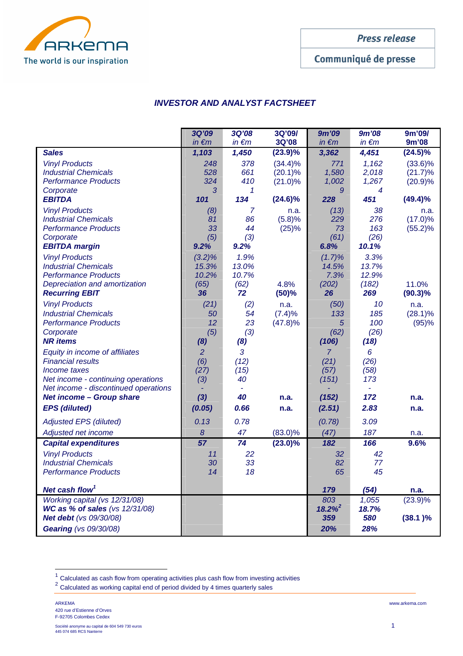

Communiqué de presse

# **INVESTOR AND ANALYST FACTSHEET**

|                                                                                                                                                          | 3Q'09<br>$in \in m$                       | <b>3Q'08</b><br>$in \in m$           | 3Q'09/<br>3Q'08                        | <b>9m'09</b><br>$in \in m$                | 9m'08<br>$in \in m$                    | 9m'09/<br>9m'08                  |
|----------------------------------------------------------------------------------------------------------------------------------------------------------|-------------------------------------------|--------------------------------------|----------------------------------------|-------------------------------------------|----------------------------------------|----------------------------------|
| <b>Sales</b>                                                                                                                                             | 1,103                                     | 1,450                                | (23.9)%                                | 3,362                                     | 4,451                                  | $(24.5)\%$                       |
| <b>Vinyl Products</b><br><b>Industrial Chemicals</b><br><b>Performance Products</b><br>Corporate                                                         | 248<br>528<br>324<br>3                    | 378<br>661<br>410<br>1               | $(34.4)\%$<br>$(20.1)\%$<br>$(21.0)\%$ | 771<br>1,580<br>1,002<br>9                | 1,162<br>2,018<br>1,267<br>4           | $(33.6)\%$<br>(21.7)%<br>(20.9)% |
| <b>EBITDA</b>                                                                                                                                            | 101                                       | 134                                  | $(24.6)\%$                             | 228                                       | 451                                    | $(49.4)\%$                       |
| <b>Vinyl Products</b><br><b>Industrial Chemicals</b><br><b>Performance Products</b><br>Corporate<br><b>EBITDA margin</b>                                 | (8)<br>81<br>33<br>(5)<br>9.2%            | 7<br>86<br>44<br>(3)<br>9.2%         | n.a.<br>(5.8)%<br>(25)%                | (13)<br>229<br>73<br>(61)<br>6.8%         | 38<br>276<br>163<br>(26)<br>10.1%      | n.a.<br>(17.0)%<br>(55.2)%       |
| <b>Vinyl Products</b><br><b>Industrial Chemicals</b><br><b>Performance Products</b><br>Depreciation and amortization<br><b>Recurring EBIT</b>            | $(3.2)\%$<br>15.3%<br>10.2%<br>(65)<br>36 | 1.9%<br>13.0%<br>10.7%<br>(62)<br>72 | 4.8%<br>(50)%                          | $(1.7)\%$<br>14.5%<br>7.3%<br>(202)<br>26 | 3.3%<br>13.7%<br>12.9%<br>(182)<br>269 | 11.0%<br>$(90.3)\%$              |
| <b>Vinyl Products</b><br><b>Industrial Chemicals</b><br><b>Performance Products</b><br>Corporate<br><b>NR</b> items                                      | (21)<br>50<br>12<br>(5)<br>(8)            | (2)<br>54<br>23<br>(3)<br>(8)        | n.a.<br>(7.4)%<br>(47.8)%              | (50)<br>133<br>5<br>(62)<br>(106)         | 10<br>185<br>100<br>(26)<br>(18)       | n.a.<br>$(28.1)\%$<br>(95)%      |
| Equity in income of affiliates<br><b>Financial results</b><br>Income taxes<br>Net income - continuing operations<br>Net income - discontinued operations | $\overline{2}$<br>(6)<br>(27)<br>(3)      | 3<br>(12)<br>(15)<br>40              |                                        | $\overline{7}$<br>(21)<br>(57)<br>(151)   | 6<br>(26)<br>(58)<br>173               |                                  |
| <b>Net income - Group share</b>                                                                                                                          | $(3)$                                     | 40                                   | n.a.                                   | (152)                                     | 172                                    | n.a.                             |
| <b>EPS</b> (diluted)                                                                                                                                     | (0.05)                                    | 0.66                                 | n.a.                                   | (2.51)                                    | 2.83                                   | n.a.                             |
| <b>Adjusted EPS (diluted)</b>                                                                                                                            | 0.13                                      | 0.78                                 |                                        | (0.78)                                    | 3.09                                   |                                  |
| Adjusted net income                                                                                                                                      | 8                                         | 47                                   | $(83.0)\%$                             | (47)                                      | 187                                    | n.a.                             |
| <b>Capital expenditures</b><br><b>Vinyl Products</b><br><b>Industrial Chemicals</b><br><b>Performance Products</b>                                       | 57<br>11<br>30<br>14                      | 74<br>22<br>33<br>18                 | $(23.0)\%$                             | 182<br>32<br>82<br>65                     | 166<br>42<br>77<br>45                  | 9.6%                             |
| Net cash flow <sup>1</sup>                                                                                                                               |                                           |                                      |                                        | 179                                       | (54)                                   | n.a.                             |
| Working capital (vs 12/31/08)<br><b>WC as % of sales (vs 12/31/08)</b><br>Net debt (vs 09/30/08)                                                         |                                           |                                      |                                        | 803<br>$18.2\%^{2}$<br>359                | 1,055<br>18.7%<br>580                  | (23.9)%<br>(38.1)%               |
| <b>Gearing</b> (vs 09/30/08)                                                                                                                             |                                           |                                      |                                        | 20%                                       | 28%                                    |                                  |

 $1$  Calculated as cash flow from operating activities plus cash flow from investing activities

 $2$  Calculated as working capital end of period divided by 4 times quarterly sales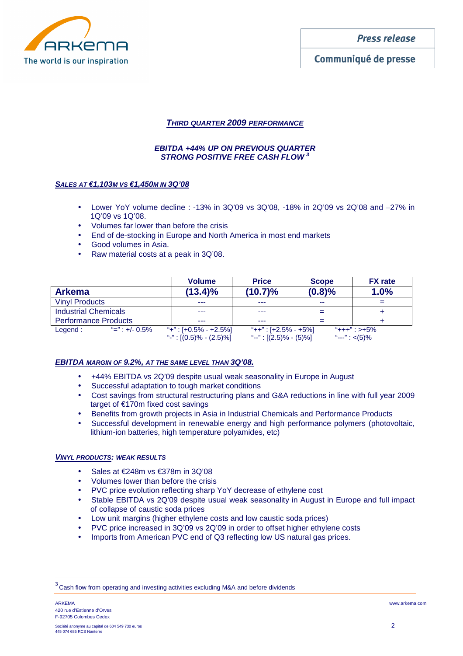The world is our inspiration

**Press release** 

Communiqué de presse

# **THIRD QUARTER 2009 PERFORMANCE**

# **EBITDA +44% UP ON PREVIOUS QUARTER STRONG POSITIVE FREE CASH FLOW <sup>3</sup>**

# **SALES AT €1,103M VS €1,450M IN 3Q'08**

- Lower YoY volume decline : -13% in 3Q'09 vs 3Q'08, -18% in 2Q'09 vs 2Q'08 and –27% in 1Q'09 vs 1Q'08.
- Volumes far lower than before the crisis
- End of de-stocking in Europe and North America in most end markets
- Good volumes in Asia.
- Raw material costs at a peak in 3Q'08.

|                             |                           | <b>Volume</b>              | <b>Price</b>              | <b>Scope</b> | <b>FX</b> rate    |
|-----------------------------|---------------------------|----------------------------|---------------------------|--------------|-------------------|
| <b>Arkema</b>               |                           | $(13.4)\%$                 | $(10.7)\%$                | (0.8)%       | 1.0%              |
| <b>Vinyl Products</b>       |                           | ---                        | ---                       | $- -$        | $=$               |
| <b>Industrial Chemicals</b> |                           | ---                        | ---                       |              |                   |
| <b>Performance Products</b> |                           | ---                        | ---                       |              |                   |
| $L$ egend :                 | $\frac{42}{2}$ : +/- 0.5% | "+": $[+0.5\% - +2.5\%]$   | "++" : [+2.5% - +5%]      |              | "+++" : >+5%      |
|                             |                           | "-": $[(0.5)\% - (2.5)\%]$ | "--": $[(2.5)\% - (5)\%]$ |              | "---": $\lt(5)\%$ |

# **EBITDA MARGIN OF 9.2%, AT THE SAME LEVEL THAN 3Q'08.**

- +44% EBITDA vs 2Q'09 despite usual weak seasonality in Europe in August
- Successful adaptation to tough market conditions
- Cost savings from structural restructuring plans and G&A reductions in line with full year 2009 target of €170m fixed cost savings
- Benefits from growth projects in Asia in Industrial Chemicals and Performance Products
- Successful development in renewable energy and high performance polymers (photovoltaic, lithium-ion batteries, high temperature polyamides, etc)

#### **VINYL PRODUCTS: WEAK RESULTS**

- Sales at  $\epsilon$ 248m vs  $\epsilon$ 378m in 3Q'08
- Volumes lower than before the crisis
- PVC price evolution reflecting sharp YoY decrease of ethylene cost
- Stable EBITDA vs 2Q'09 despite usual weak seasonality in August in Europe and full impact of collapse of caustic soda prices
- Low unit margins (higher ethylene costs and low caustic soda prices)
- PVC price increased in 3Q'09 vs 2Q'09 in order to offset higher ethylene costs
- Imports from American PVC end of Q3 reflecting low US natural gas prices.

 $3$  Cash flow from operating and investing activities excluding M&A and before dividends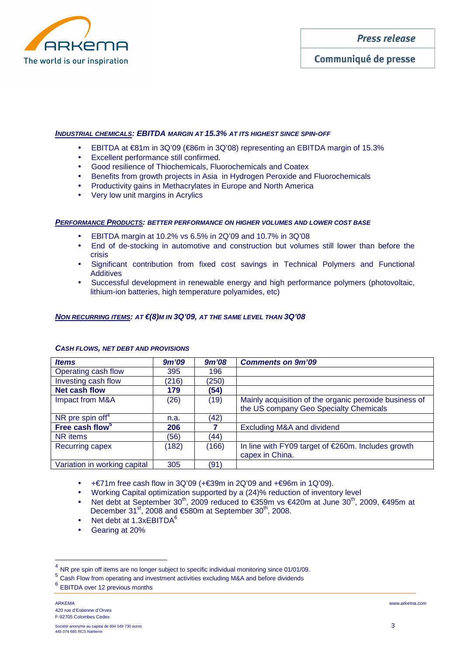

# **INDUSTRIAL CHEMICALS: EBITDA MARGIN AT 15.3% AT ITS HIGHEST SINCE SPIN-OFF**

- EBITDA at €81m in 3Q'09 (€86m in 3Q'08) representing an EBITDA margin of 15.3%
- Excellent performance still confirmed.
- Good resilience of Thiochemicals, Fluorochemicals and Coatex
- Benefits from growth projects in Asia in Hydrogen Peroxide and Fluorochemicals
- Productivity gains in Methacrylates in Europe and North America
- Very low unit margins in Acrylics

#### **PERFORMANCE PRODUCTS: BETTER PERFORMANCE ON HIGHER VOLUMES AND LOWER COST BASE**

- EBITDA margin at 10.2% vs 6.5% in 2Q'09 and 10.7% in 3Q'08
- End of de-stocking in automotive and construction but volumes still lower than before the crisis
- Significant contribution from fixed cost savings in Technical Polymers and Functional **Additives**
- Successful development in renewable energy and high performance polymers (photovoltaic, lithium-ion batteries, high temperature polyamides, etc)

#### **NON RECURRING ITEMS: AT €(8)M IN 3Q'09, AT THE SAME LEVEL THAN 3Q'08**

| <b>Items</b>                 | 9m'09 | 9m'08 | <b>Comments on 9m'09</b>                                                                         |
|------------------------------|-------|-------|--------------------------------------------------------------------------------------------------|
| Operating cash flow          | 395   | 196   |                                                                                                  |
| Investing cash flow          | (216) | (250) |                                                                                                  |
| Net cash flow                | 179   | (54)  |                                                                                                  |
| Impact from M&A              | (26)  | (19)  | Mainly acquisition of the organic peroxide business of<br>the US company Geo Specialty Chemicals |
| NR pre spin of $f^4$         | n.a.  | (42)  |                                                                                                  |
| Free cash flow <sup>5</sup>  | 206   |       | Excluding M&A and dividend                                                                       |
| NR items                     | '56)  | (44)  |                                                                                                  |
| <b>Recurring capex</b>       | (182) | (166) | In line with FY09 target of €260m. Includes growth<br>capex in China.                            |
| Variation in working capital | 305   | (91)  |                                                                                                  |

#### **CASH FLOWS, NET DEBT AND PROVISIONS**

- +€71m free cash flow in 3Q'09 (+€39m in 2Q'09 and +€96m in 1Q'09).
- Working Capital optimization supported by a (24)% reduction of inventory level
- Net debt at September 30<sup>th</sup>, 2009 reduced to €359m vs €420m at June 30<sup>th</sup>, 2009, €495m at December 31<sup>st</sup>, 2008 and  $\in$  580m at September 30<sup>th</sup>, 2008.
- Net debt at 1.3xEBITDA<sup>6</sup>
- Gearing at 20%

 $\overline{a}$ 

<sup>4</sup> NR pre spin off items are no longer subject to specific individual monitoring since 01/01/09.

<sup>5</sup> Cash Flow from operating and investment activities excluding M&A and before dividends

<sup>6</sup> EBITDA over 12 previous months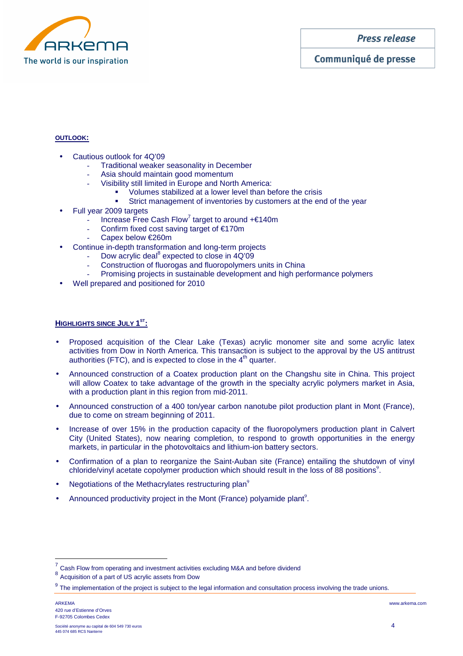

Communiqué de presse

### **OUTLOOK:**

- Cautious outlook for 4Q'09
	- Traditional weaker seasonality in December
	- Asia should maintain good momentum
	- Visibility still limited in Europe and North America:
		- Volumes stabilized at a lower level than before the crisis
		- Strict management of inventories by customers at the end of the year
- Full year 2009 targets
	- Increase Free Cash Flow<sup>7</sup> target to around  $+ \epsilon$ 140m
	- Confirm fixed cost saving target of €170m
	- Capex below €260m
- Continue in-depth transformation and long-term projects
	- Dow acrylic deal<sup>8</sup> expected to close in  $4Q'09$
	- Construction of fluorogas and fluoropolymers units in China
	- Promising projects in sustainable development and high performance polymers
- Well prepared and positioned for 2010

#### **HIGHLIGHTS SINCE JULY 1 ST:**

- Proposed acquisition of the Clear Lake (Texas) acrylic monomer site and some acrylic latex activities from Dow in North America. This transaction is subject to the approval by the US antitrust authorities (FTC), and is expected to close in the  $4<sup>th</sup>$  quarter.
- Announced construction of a Coatex production plant on the Changshu site in China. This project will allow Coatex to take advantage of the growth in the specialty acrylic polymers market in Asia. with a production plant in this region from mid-2011.
- Announced construction of a 400 ton/year carbon nanotube pilot production plant in Mont (France), due to come on stream beginning of 2011.
- Increase of over 15% in the production capacity of the fluoropolymers production plant in Calvert City (United States), now nearing completion, to respond to growth opportunities in the energy markets, in particular in the photovoltaics and lithium-ion battery sectors.
- Confirmation of a plan to reorganize the Saint-Auban site (France) entailing the shutdown of vinyl chloride/vinyl acetate copolymer production which should result in the loss of 88 positions<sup>9</sup>.
- Negotiations of the Methacrylates restructuring plan $9$
- Announced productivity project in the Mont (France) polyamide plant<sup>9</sup>.

 $\overline{a}$ 

<sup>7</sup> Cash Flow from operating and investment activities excluding M&A and before dividend

<sup>&</sup>lt;sup>8</sup> Acquisition of a part of US acrylic assets from Dow

 $9$  The implementation of the project is subject to the legal information and consultation process involving the trade unions.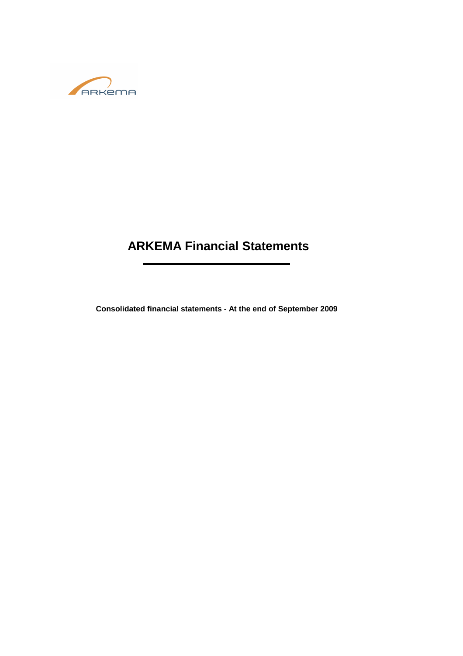

# **ARKEMA Financial Statements**

**Consolidated financial statements - At the end of September 2009**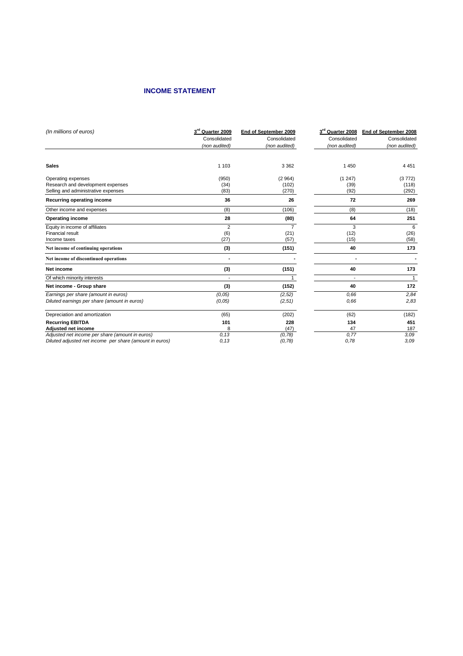# **INCOME STATEMENT**

| (In millions of euros)                                                                                     | 3rd Quarter 2009<br>Consolidated<br>(non audited) | End of September 2009<br>Consolidated<br>(non audited) | 3rd Quarter 2008<br>Consolidated<br>(non audited) | End of September 2008<br>Consolidated<br>(non audited) |
|------------------------------------------------------------------------------------------------------------|---------------------------------------------------|--------------------------------------------------------|---------------------------------------------------|--------------------------------------------------------|
| <b>Sales</b>                                                                                               | 1 1 0 3                                           | 3 3 6 2                                                | 1450                                              | 4 4 5 1                                                |
| Operating expenses<br>Research and development expenses<br>Selling and administrative expenses             | (950)<br>(34)<br>(83)                             | (2964)<br>(102)<br>(270)                               | (1247)<br>(39)<br>(92)                            | (3772)<br>(118)<br>(292)                               |
| Recurring operating income                                                                                 | 36                                                | 26                                                     | 72                                                | 269                                                    |
| Other income and expenses                                                                                  | (8)                                               | (106)                                                  | (8)                                               | (18)                                                   |
| <b>Operating income</b>                                                                                    | 28                                                | (80)                                                   | 64                                                | 251                                                    |
| Equity in income of affiliates<br><b>Financial result</b><br>Income taxes                                  | $\overline{2}$<br>(6)<br>(27)                     | $\overline{7}$<br>(21)<br>(57)                         | 3<br>(12)<br>(15)                                 | 6<br>(26)<br>(58)                                      |
| Net income of continuing operations                                                                        | (3)                                               | (151)                                                  | 40                                                | 173                                                    |
| Net income of discontinued operations                                                                      |                                                   |                                                        |                                                   |                                                        |
| Net income                                                                                                 | (3)                                               | (151)                                                  | 40                                                | 173                                                    |
| Of which minority interests                                                                                |                                                   | 1                                                      | $\overline{\phantom{a}}$                          | $\mathbf{1}$                                           |
| Net income - Group share                                                                                   | (3)                                               | (152)                                                  | 40                                                | 172                                                    |
| Earnings per share (amount in euros)<br>Diluted earnings per share (amount in euros)                       | (0, 05)<br>(0, 05)                                | (2, 52)<br>(2, 51)                                     | 0.66<br>0.66                                      | 2,84<br>2.83                                           |
| Depreciation and amortization                                                                              | (65)                                              | (202)                                                  | (62)                                              | (182)                                                  |
| <b>Recurring EBITDA</b><br>Adjusted net income                                                             | 101<br>8                                          | 228<br>(47)                                            | 134<br>47                                         | 451<br>187                                             |
| Adjusted net income per share (amount in euros)<br>Diluted adjusted net income per share (amount in euros) | 0, 13<br>0, 13                                    | (0, 78)<br>(0, 78)                                     | 0,77<br>0,78                                      | 3,09<br>3,09                                           |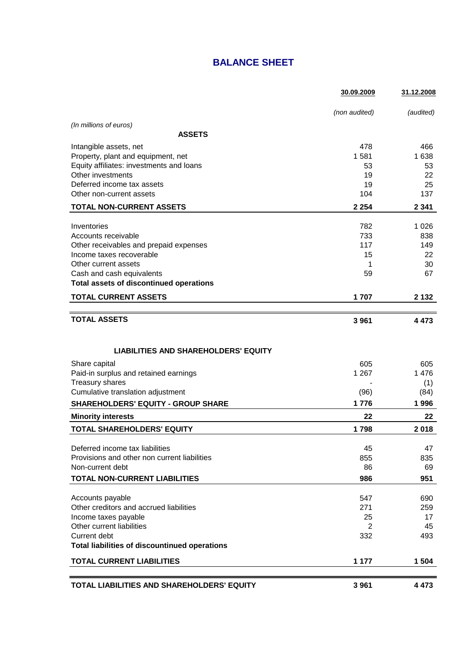# **BALANCE SHEET**

|                                                                      | 30.09.2009     | 31.12.2008 |
|----------------------------------------------------------------------|----------------|------------|
|                                                                      | (non audited)  | (audited)  |
| (In millions of euros)                                               |                |            |
| <b>ASSETS</b>                                                        |                |            |
| Intangible assets, net                                               | 478            | 466        |
| Property, plant and equipment, net                                   | 1581           | 1 6 3 8    |
| Equity affiliates: investments and loans                             | 53             | 53         |
| Other investments                                                    | 19             | 22         |
| Deferred income tax assets<br>Other non-current assets               | 19<br>104      | 25<br>137  |
|                                                                      |                |            |
| <b>TOTAL NON-CURRENT ASSETS</b>                                      | 2 2 5 4        | 2 3 4 1    |
| Inventories                                                          | 782            | 1 0 2 6    |
| Accounts receivable                                                  | 733            | 838        |
| Other receivables and prepaid expenses                               | 117            | 149        |
| Income taxes recoverable                                             | 15             | 22         |
| Other current assets                                                 | 1              | 30         |
| Cash and cash equivalents<br>Total assets of discontinued operations | 59             | 67         |
|                                                                      |                |            |
| <b>TOTAL CURRENT ASSETS</b>                                          | 1707           | 2 1 3 2    |
| <b>TOTAL ASSETS</b>                                                  | 3 9 6 1        | 4 4 7 3    |
|                                                                      |                |            |
|                                                                      |                |            |
| <b>LIABILITIES AND SHAREHOLDERS' EQUITY</b>                          |                |            |
| Share capital                                                        | 605            | 605        |
| Paid-in surplus and retained earnings                                | 1 2 6 7        | 1476       |
| Treasury shares                                                      |                | (1)        |
| Cumulative translation adjustment                                    | (96)           | (84)       |
| <b>SHAREHOLDERS' EQUITY - GROUP SHARE</b>                            | 1776           | 1996       |
| <b>Minority interests</b>                                            | 22             | 22         |
| <b>TOTAL SHAREHOLDERS' EQUITY</b>                                    | 1798           | 2018       |
| Deferred income tax liabilities                                      | 45             | 47         |
| Provisions and other non current liabilities                         | 855            | 835        |
| Non-current debt                                                     | 86             | 69         |
| <b>TOTAL NON-CURRENT LIABILITIES</b>                                 | 986            | 951        |
|                                                                      |                |            |
| Accounts payable                                                     | 547            | 690        |
| Other creditors and accrued liabilities<br>Income taxes payable      | 271<br>25      | 259<br>17  |
| Other current liabilities                                            | $\overline{2}$ | 45         |
| Current debt                                                         | 332            | 493        |
| <b>Total liabilities of discountinued operations</b>                 |                |            |
| <b>TOTAL CURRENT LIABILITIES</b>                                     | 1 1 7 7        | 1 504      |
|                                                                      |                |            |
| TOTAL LIABILITIES AND SHAREHOLDERS' EQUITY                           | 3 9 6 1        | 4 4 7 3    |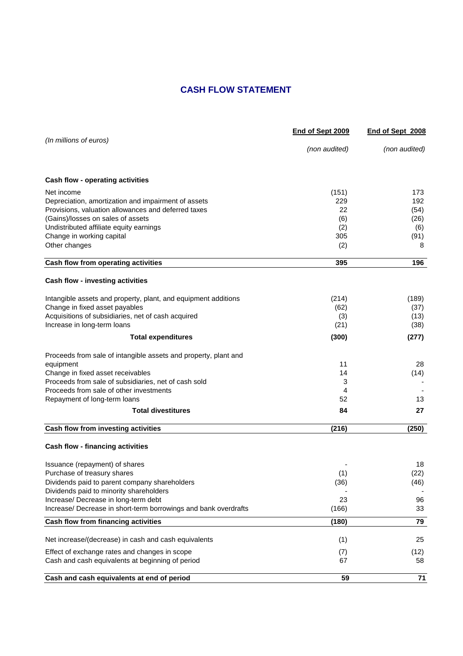# **CASH FLOW STATEMENT**

|                                                                 | End of Sept 2009 | End of Sept 2008 |
|-----------------------------------------------------------------|------------------|------------------|
| (In millions of euros)                                          |                  |                  |
|                                                                 | (non audited)    | (non audited)    |
|                                                                 |                  |                  |
| <b>Cash flow - operating activities</b>                         |                  |                  |
| Net income                                                      | (151)            | 173              |
| Depreciation, amortization and impairment of assets             | 229              | 192              |
| Provisions, valuation allowances and deferred taxes             | 22               | (54)             |
| (Gains)/losses on sales of assets                               | (6)              | (26)             |
| Undistributed affiliate equity earnings                         | (2)              | (6)              |
| Change in working capital<br>Other changes                      | 305              | (91)<br>8        |
|                                                                 | (2)              |                  |
| Cash flow from operating activities                             | 395              | 196              |
| Cash flow - investing activities                                |                  |                  |
| Intangible assets and property, plant, and equipment additions  | (214)            | (189)            |
| Change in fixed asset payables                                  | (62)             | (37)             |
| Acquisitions of subsidiaries, net of cash acquired              | (3)              | (13)             |
| Increase in long-term loans                                     | (21)             | (38)             |
| <b>Total expenditures</b>                                       | (300)            | (277)            |
| Proceeds from sale of intangible assets and property, plant and |                  |                  |
| equipment                                                       | 11               | 28               |
| Change in fixed asset receivables                               | 14               | (14)             |
| Proceeds from sale of subsidiaries, net of cash sold            | 3                |                  |
| Proceeds from sale of other investments                         | 4                |                  |
| Repayment of long-term loans                                    | 52               | 13               |
| <b>Total divestitures</b>                                       | 84               | 27               |
| Cash flow from investing activities                             | (216)            | (250)            |
| <b>Cash flow - financing activities</b>                         |                  |                  |
|                                                                 |                  |                  |
| Issuance (repayment) of shares<br>Purchase of treasury shares   | (1)              | 18               |
| Dividends paid to parent company shareholders                   | (36)             | (22)<br>(46)     |
| Dividends paid to minority shareholders                         |                  |                  |
| Increase/ Decrease in long-term debt                            | 23               | 96               |
| Increase/ Decrease in short-term borrowings and bank overdrafts | (166)            | 33               |
| Cash flow from financing activities                             | (180)            | 79               |
| Net increase/(decrease) in cash and cash equivalents            |                  | 25               |
|                                                                 | (1)              |                  |
| Effect of exchange rates and changes in scope                   | (7)              | (12)             |
| Cash and cash equivalents at beginning of period                | 67               | 58               |
| Cash and cash equivalents at end of period                      | 59               | 71               |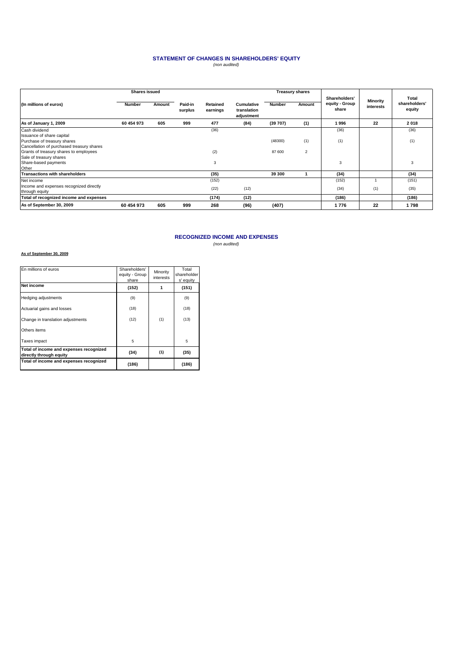#### **STATEMENT OF CHANGES IN SHAREHOLDERS' EQUITY** (non audited)

|                                           | <b>Shares issued</b> |        |                    | <b>Treasury shares</b> |                                                |               |                |                                          |                       |                                  |
|-------------------------------------------|----------------------|--------|--------------------|------------------------|------------------------------------------------|---------------|----------------|------------------------------------------|-----------------------|----------------------------------|
| (In millions of euros)                    | <b>Number</b>        | Amount | Paid-in<br>surplus | Retained<br>earnings   | <b>Cumulative</b><br>translation<br>adjustment | <b>Number</b> | Amount         | Shareholders'<br>equity - Group<br>share | Minority<br>interests | Total<br>shareholders'<br>equity |
| As of January 1, 2009                     | 60 454 973           | 605    | 999                | 477                    | (84)                                           | (39707)       | (1)            | 1996                                     | 22                    | 2018                             |
| Cash dividend                             |                      |        |                    | (36)                   |                                                |               |                | (36)                                     |                       | (36)                             |
| Issuance of share capital                 |                      |        |                    |                        |                                                |               |                |                                          |                       |                                  |
| Purchase of treasury shares               |                      |        |                    |                        |                                                | (48300)       | (1)            | (1)                                      |                       | (1)                              |
| Cancellation of purchased treasury shares |                      |        |                    |                        |                                                |               |                |                                          |                       |                                  |
| Grants of treasury shares to employees    |                      |        |                    | (2)                    |                                                | 87 600        | $\overline{2}$ |                                          |                       |                                  |
| Sale of treasury shares                   |                      |        |                    |                        |                                                |               |                |                                          |                       |                                  |
| Share-based payments                      |                      |        |                    | 3                      |                                                |               |                | 3                                        |                       | 3                                |
| Other                                     |                      |        |                    |                        |                                                |               |                |                                          |                       |                                  |
| <b>Transactions with shareholders</b>     |                      |        |                    | (35)                   |                                                | 39 300        |                | (34)                                     |                       | (34)                             |
| Net income                                |                      |        |                    | (152)                  |                                                |               |                | (152)                                    |                       | (151)                            |
| Income and expenses recognized directly   |                      |        |                    | (22)                   | (12)                                           |               |                | (34)                                     | (1)                   | (35)                             |
| through equity                            |                      |        |                    |                        |                                                |               |                |                                          |                       |                                  |
| Total of recognized income and expenses   |                      |        |                    | (174)                  | (12)                                           |               |                | (186)                                    |                       | (186)                            |
| As of September 30, 2009                  | 60 454 973           | 605    | 999                | 268                    | (96)                                           | (407)         |                | 1776                                     | 22                    | 1798                             |

#### **RECOGNIZED INCOME AND EXPENSES**

(non audited)

#### **As of September 30, 2009**

| En millions of euros                                               | Shareholders'<br>equity - Group<br>share | Minority<br>interests | Total<br>shareholder<br>s' equity |
|--------------------------------------------------------------------|------------------------------------------|-----------------------|-----------------------------------|
| <b>Net income</b>                                                  | (152)                                    |                       | (151)                             |
| Hedging adjustments                                                | (9)                                      |                       | (9)                               |
| Actuarial gains and losses                                         | (18)                                     |                       | (18)                              |
| Change in translation adjustments                                  | (12)                                     | (1)                   | (13)                              |
| Others items                                                       |                                          |                       |                                   |
| Taxes impact                                                       | 5                                        |                       | 5                                 |
| Total of income and expenses recognized<br>directly through equity | (34)                                     | (1)                   | (35)                              |
| Total of income and expenses recognized                            | (186)                                    |                       | (186)                             |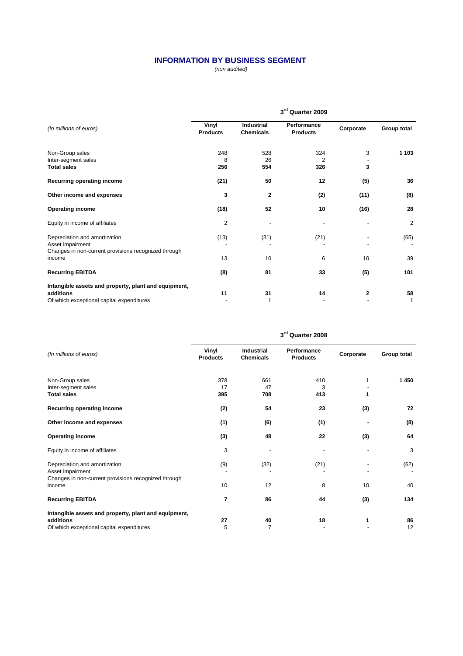# **INFORMATION BY BUSINESS SEGMENT**

(non audited)

|                                                                                                                | 3rd Quarter 2009         |                                       |                                |              |                |  |  |
|----------------------------------------------------------------------------------------------------------------|--------------------------|---------------------------------------|--------------------------------|--------------|----------------|--|--|
| (In millions of euros)                                                                                         | Vinyl<br><b>Products</b> | <b>Industrial</b><br><b>Chemicals</b> | Performance<br><b>Products</b> | Corporate    | Group total    |  |  |
| Non-Group sales<br>Inter-segment sales<br><b>Total sales</b>                                                   | 248<br>8<br>256          | 528<br>26<br>554                      | 324<br>2<br>326                | 3<br>3       | 1 1 0 3        |  |  |
| Recurring operating income                                                                                     | (21)                     | 50                                    | 12                             | (5)          | 36             |  |  |
| Other income and expenses                                                                                      | 3                        | $\mathbf{2}$                          | (2)                            | (11)         | (8)            |  |  |
| <b>Operating income</b>                                                                                        | (18)                     | 52                                    | 10                             | (16)         | 28             |  |  |
| Equity in income of affiliates                                                                                 | $\overline{2}$           |                                       |                                |              | $\overline{2}$ |  |  |
| Depreciation and amortization<br>Asset impairment<br>Changes in non-current provisions recognized through      | (13)                     | (31)                                  | (21)                           |              | (65)           |  |  |
| income                                                                                                         | 13                       | 10                                    | 6                              | 10           | 39             |  |  |
| <b>Recurring EBITDA</b>                                                                                        | (8)                      | 81                                    | 33                             | (5)          | 101            |  |  |
| Intangible assets and property, plant and equipment,<br>additions<br>Of which exceptional capital expenditures | 11                       | 31<br>1                               | 14                             | $\mathbf{2}$ | 58<br>1        |  |  |

| Group total<br>1450 |
|---------------------|
|                     |
|                     |
|                     |
| 72                  |
| (8)                 |
| 64                  |
| 3                   |
| (62)                |
| 40                  |
| 134                 |
|                     |
| 86<br>12            |
| (3)<br>(3)<br>(3)   |

#### **3 rd Quarter 2008**